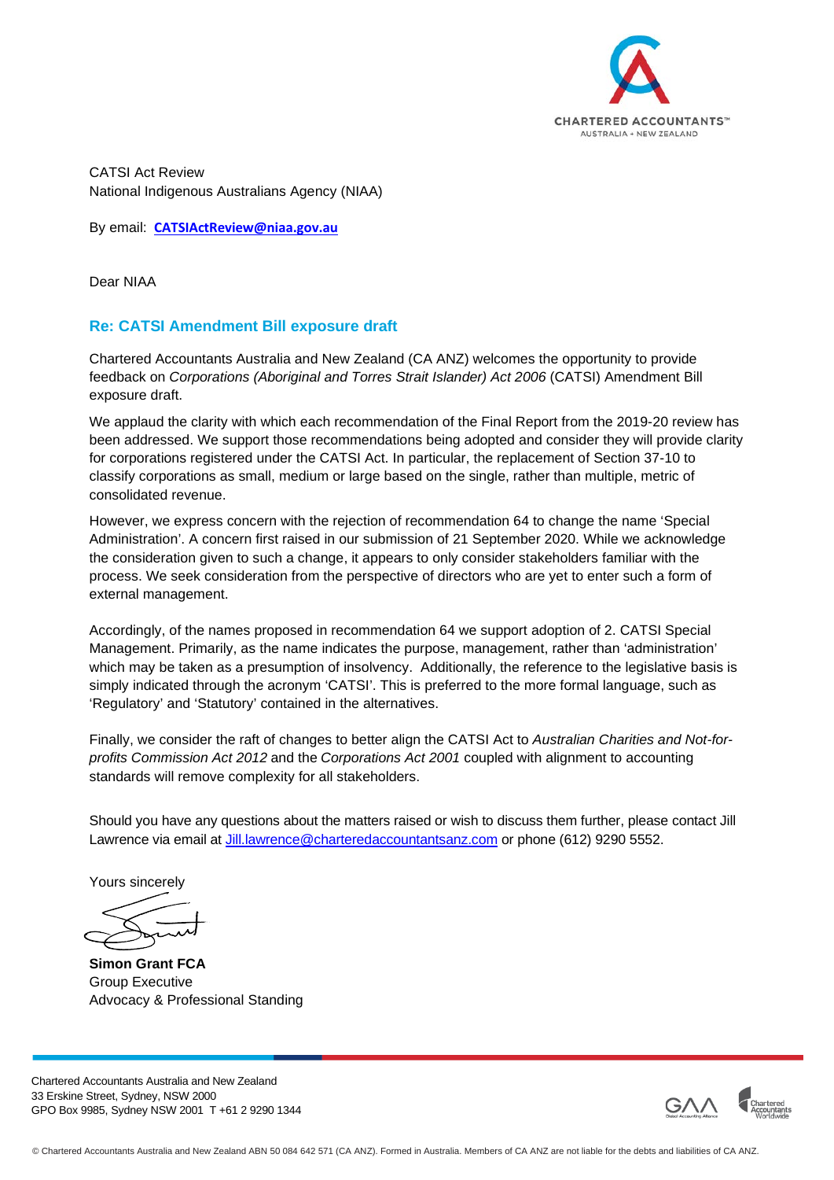

CATSI Act Review National Indigenous Australians Agency (NIAA)

By email: **[CATSIActReview@niaa.gov.au](mailto:CATSIActReview@niaa.gov.au)**

Dear NIAA

## **Re: CATSI Amendment Bill exposure draft**

Chartered Accountants Australia and New Zealand (CA ANZ) welcomes the opportunity to provide feedback on *Corporations (Aboriginal and Torres Strait Islander) Act 2006* (CATSI) Amendment Bill exposure draft.

We applaud the clarity with which each recommendation of the Final Report from the 2019-20 review has been addressed. We support those recommendations being adopted and consider they will provide clarity for corporations registered under the CATSI Act. In particular, the replacement of Section 37-10 to classify corporations as small, medium or large based on the single, rather than multiple, metric of consolidated revenue.

However, we express concern with the rejection of recommendation 64 to change the name 'Special Administration'. A concern first raised in our submission of 21 September 2020. While we acknowledge the consideration given to such a change, it appears to only consider stakeholders familiar with the process. We seek consideration from the perspective of directors who are yet to enter such a form of external management.

Accordingly, of the names proposed in recommendation 64 we support adoption of 2. CATSI Special Management. Primarily, as the name indicates the purpose, management, rather than 'administration' which may be taken as a presumption of insolvency. Additionally, the reference to the legislative basis is simply indicated through the acronym 'CATSI'. This is preferred to the more formal language, such as 'Regulatory' and 'Statutory' contained in the alternatives.

Finally, we consider the raft of changes to better align the CATSI Act to *Australian Charities and Not-forprofits Commission Act 2012* and the *Corporations Act 2001* coupled with alignment to accounting standards will remove complexity for all stakeholders.

Should you have any questions about the matters raised or wish to discuss them further, please contact Jill Lawrence via email at [Jill.lawrence@charteredaccountantsanz.com](mailto:Jill.lawrence@charteredaccountantsanz.com) or phone (612) 9290 5552.

Yours sincerely

**Simon Grant FCA** Group Executive Advocacy & Professional Standing

Chartered Accountants Australia and New Zealand 33 Erskine Street, Sydney, NSW 2000 GPO Box 9985, Sydney NSW 2001 T +61 2 9290 1344